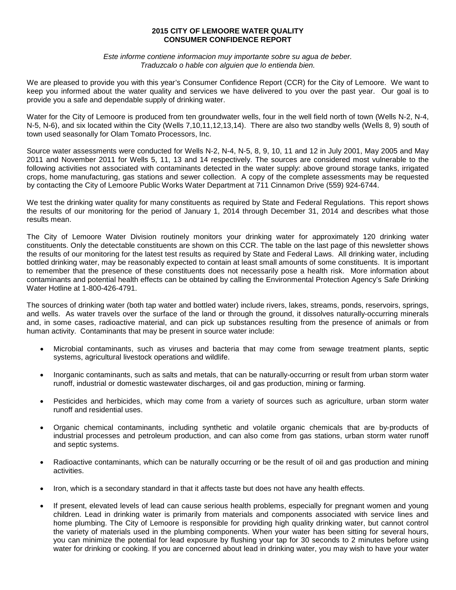# **2015 CITY OF LEMOORE WATER QUALITY CONSUMER CONFIDENCE REPORT**

*Este informe contiene informacion muy importante sobre su agua de beber. Traduzcalo o hable con alguien que lo entienda bien.*

We are pleased to provide you with this year's Consumer Confidence Report (CCR) for the City of Lemoore. We want to keep you informed about the water quality and services we have delivered to you over the past year. Our goal is to provide you a safe and dependable supply of drinking water.

Water for the City of Lemoore is produced from ten groundwater wells, four in the well field north of town (Wells N-2, N-4, N-5, N-6), and six located within the City (Wells 7,10,11,12,13,14). There are also two standby wells (Wells 8, 9) south of town used seasonally for Olam Tomato Processors, Inc.

Source water assessments were conducted for Wells N-2, N-4, N-5, 8, 9, 10, 11 and 12 in July 2001, May 2005 and May 2011 and November 2011 for Wells 5, 11, 13 and 14 respectively. The sources are considered most vulnerable to the following activities not associated with contaminants detected in the water supply: above ground storage tanks, irrigated crops, home manufacturing, gas stations and sewer collection. A copy of the complete assessments may be requested by contacting the City of Lemoore Public Works Water Department at 711 Cinnamon Drive (559) 924-6744.

We test the drinking water quality for many constituents as required by State and Federal Regulations. This report shows the results of our monitoring for the period of January 1, 2014 through December 31, 2014 and describes what those results mean.

The City of Lemoore Water Division routinely monitors your drinking water for approximately 120 drinking water constituents. Only the detectable constituents are shown on this CCR. The table on the last page of this newsletter shows the results of our monitoring for the latest test results as required by State and Federal Laws. All drinking water, including bottled drinking water, may be reasonably expected to contain at least small amounts of some constituents. It is important to remember that the presence of these constituents does not necessarily pose a health risk. More information about contaminants and potential health effects can be obtained by calling the Environmental Protection Agency's Safe Drinking Water Hotline at 1-800-426-4791.

The sources of drinking water (both tap water and bottled water) include rivers, lakes, streams, ponds, reservoirs, springs, and wells. As water travels over the surface of the land or through the ground, it dissolves naturally-occurring minerals and, in some cases, radioactive material, and can pick up substances resulting from the presence of animals or from human activity. Contaminants that may be present in source water include:

- Microbial contaminants, such as viruses and bacteria that may come from sewage treatment plants, septic systems, agricultural livestock operations and wildlife.
- Inorganic contaminants, such as salts and metals, that can be naturally-occurring or result from urban storm water runoff, industrial or domestic wastewater discharges, oil and gas production, mining or farming.
- Pesticides and herbicides, which may come from a variety of sources such as agriculture, urban storm water runoff and residential uses.
- Organic chemical contaminants, including synthetic and volatile organic chemicals that are by-products of industrial processes and petroleum production, and can also come from gas stations, urban storm water runoff and septic systems.
- Radioactive contaminants, which can be naturally occurring or be the result of oil and gas production and mining activities.
- Iron, which is a secondary standard in that it affects taste but does not have any health effects.
- If present, elevated levels of lead can cause serious health problems, especially for pregnant women and young children. Lead in drinking water is primarily from materials and components associated with service lines and home plumbing. The City of Lemoore is responsible for providing high quality drinking water, but cannot control the variety of materials used in the plumbing components. When your water has been sitting for several hours, you can minimize the potential for lead exposure by flushing your tap for 30 seconds to 2 minutes before using water for drinking or cooking. If you are concerned about lead in drinking water, you may wish to have your water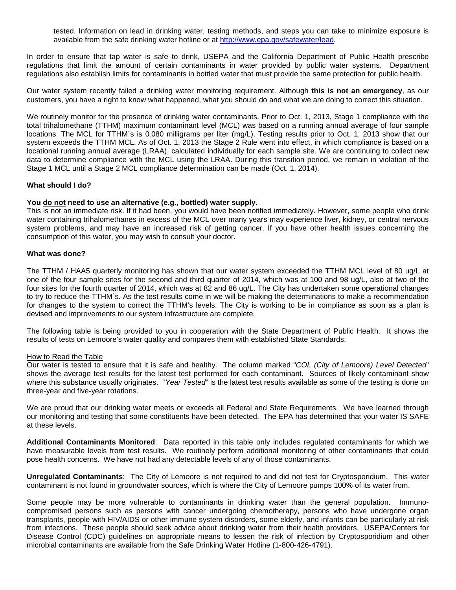tested. Information on lead in drinking water, testing methods, and steps you can take to minimize exposure is available from the safe drinking water hotline or at [http://www.epa.gov/safewater/lead.](http://www.epa.gov/safewater/lead)

In order to ensure that tap water is safe to drink, USEPA and the California Department of Public Health prescribe regulations that limit the amount of certain contaminants in water provided by public water systems. Department regulations also establish limits for contaminants in bottled water that must provide the same protection for public health.

Our water system recently failed a drinking water monitoring requirement. Although **this is not an emergency**, as our customers, you have a right to know what happened, what you should do and what we are doing to correct this situation.

We routinely monitor for the presence of drinking water contaminants. Prior to Oct. 1, 2013, Stage 1 compliance with the total trihalomethane (TTHM) maximum contaminant level (MCL) was based on a running annual average of four sample locations. The MCL for TTHM`s is 0.080 milligrams per liter (mg/L). Testing results prior to Oct. 1, 2013 show that our system exceeds the TTHM MCL. As of Oct. 1, 2013 the Stage 2 Rule went into effect, in which compliance is based on a locational running annual average (LRAA), calculated individually for each sample site. We are continuing to collect new data to determine compliance with the MCL using the LRAA. During this transition period, we remain in violation of the Stage 1 MCL until a Stage 2 MCL compliance determination can be made (Oct. 1, 2014).

### **What should I do?**

### **You do not need to use an alternative (e.g., bottled) water supply.**

This is not an immediate risk. If it had been, you would have been notified immediately. However, some people who drink water containing trihalomethanes in excess of the MCL over many years may experience liver, kidney, or central nervous system problems, and may have an increased risk of getting cancer. If you have other health issues concerning the consumption of this water, you may wish to consult your doctor.

### **What was done?**

The TTHM / HAA5 quarterly monitoring has shown that our water system exceeded the TTHM MCL level of 80 ug/L at one of the four sample sites for the second and third quarter of 2014, which was at 100 and 98 ug/L, also at two of the four sites for the fourth quarter of 2014, which was at 82 and 86 ug/L. The City has undertaken some operational changes to try to reduce the TTHM`s. As the test results come in we will be making the determinations to make a recommendation for changes to the system to correct the TTHM's levels. The City is working to be in compliance as soon as a plan is devised and improvements to our system infrastructure are complete.

The following table is being provided to you in cooperation with the State Department of Public Health. It shows the results of tests on Lemoore's water quality and compares them with established State Standards.

# How to Read the Table

Our water is tested to ensure that it is safe and healthy. The column marked "*COL (City of Lemoore) Level Detected*" shows the average test results for the latest test performed for each contaminant. Sources of likely contaminant show where this substance usually originates. "*Year Tested*" is the latest test results available as some of the testing is done on three-year and five-year rotations.

We are proud that our drinking water meets or exceeds all Federal and State Requirements. We have learned through our monitoring and testing that some constituents have been detected. The EPA has determined that your water IS SAFE at these levels.

**Additional Contaminants Monitored**: Data reported in this table only includes regulated contaminants for which we have measurable levels from test results. We routinely perform additional monitoring of other contaminants that could pose health concerns. We have not had any detectable levels of any of those contaminants.

**Unregulated Contaminants**: The City of Lemoore is not required to and did not test for Cryptosporidium. This water contaminant is not found in groundwater sources, which is where the City of Lemoore pumps 100% of its water from.

Some people may be more vulnerable to contaminants in drinking water than the general population. Immunocompromised persons such as persons with cancer undergoing chemotherapy, persons who have undergone organ transplants, people with HIV/AIDS or other immune system disorders, some elderly, and infants can be particularly at risk from infections. These people should seek advice about drinking water from their health providers. USEPA/Centers for Disease Control (CDC) guidelines on appropriate means to lessen the risk of infection by Cryptosporidium and other microbial contaminants are available from the Safe Drinking Water Hotline (1-800-426-4791).